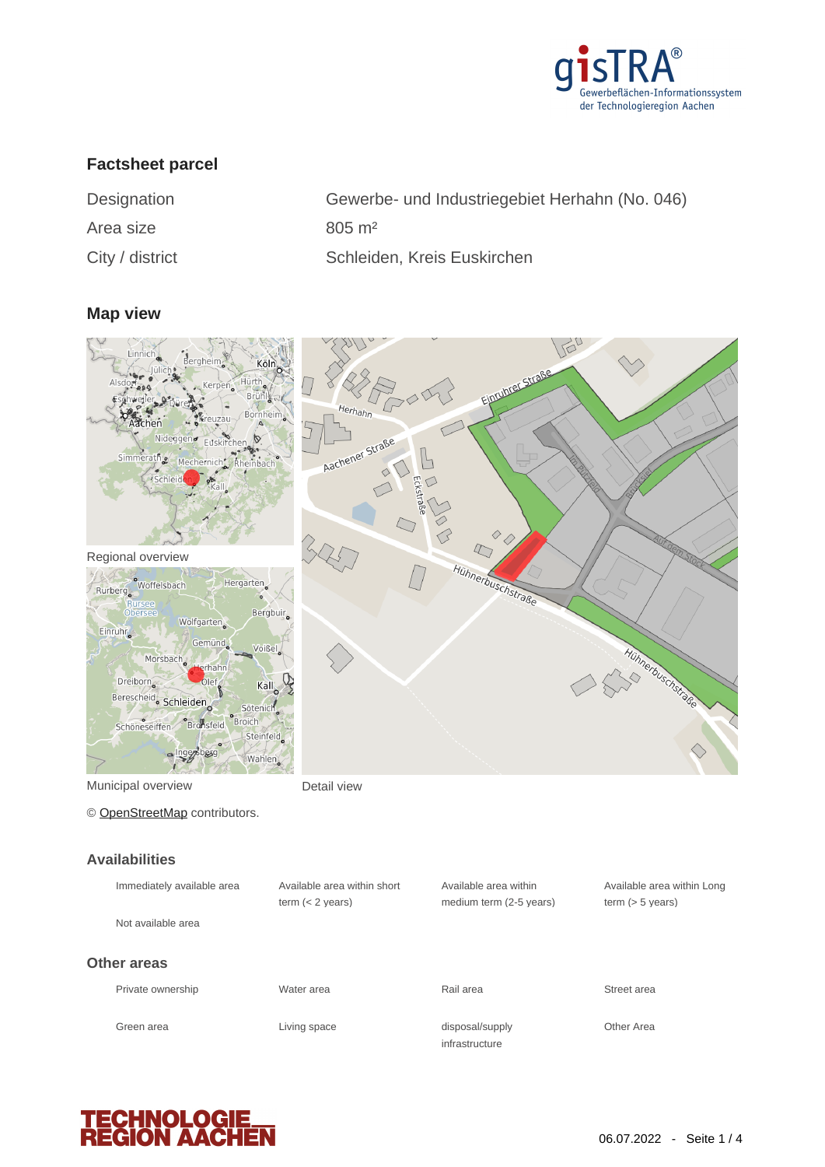

# **Factsheet parcel**

Area size 805 m<sup>2</sup>

Designation Gewerbe- und Industriegebiet Herhahn (No. 046) City / district Schleiden, Kreis Euskirchen

#### **Map view**



Municipal overview **Detail view** 

© [OpenStreetMap](http://www.openstreetmap.org/copyright) contributors.

#### **Availabilities**

| Immediately available area | Available area within short<br>term $(< 2$ vears) | Available area within<br>medium term (2-5 years) | Available area within Long<br>term $(> 5$ years) |
|----------------------------|---------------------------------------------------|--------------------------------------------------|--------------------------------------------------|
| Not available area         |                                                   |                                                  |                                                  |
| Other areas                |                                                   |                                                  |                                                  |
| Private ownership          | Water area                                        | Rail area                                        | Street area                                      |
| Green area                 | Living space                                      | disposal/supply<br>infrastructure                | Other Area                                       |

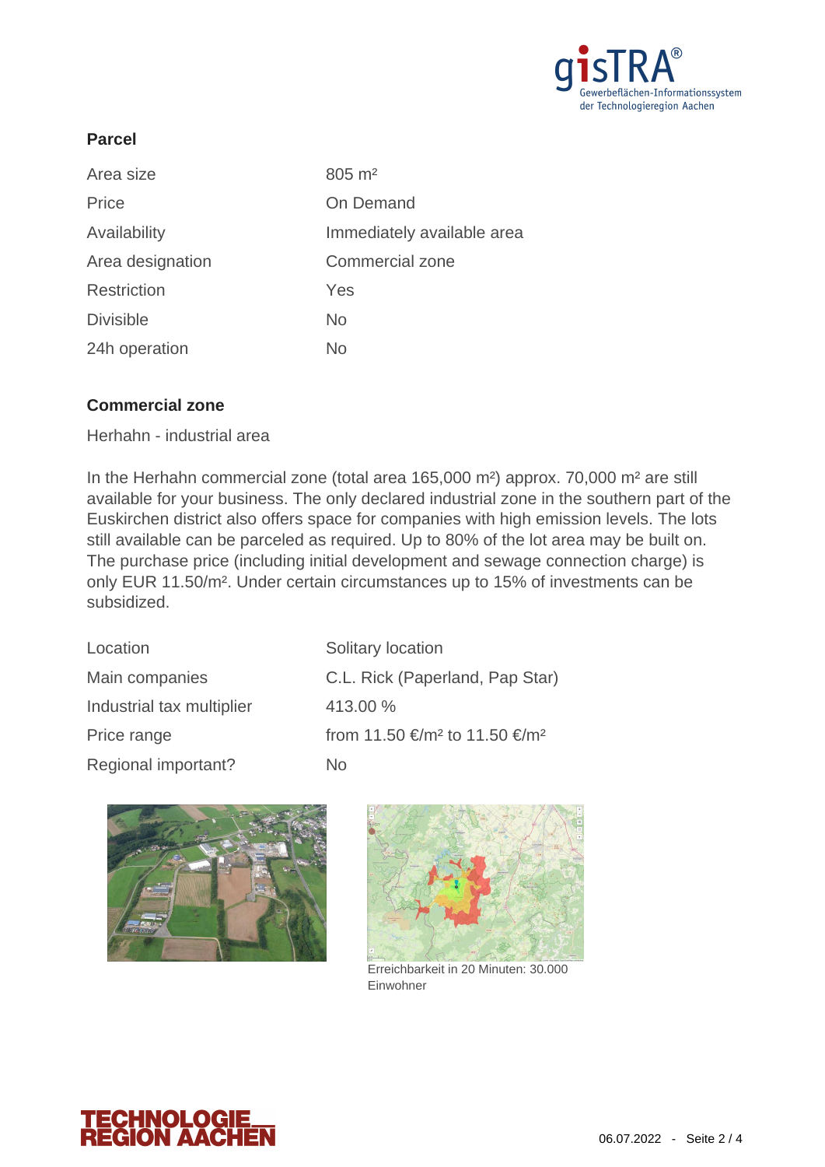

# **Parcel**

| Area size        | $805 \; \text{m}^2$        |
|------------------|----------------------------|
| Price            | On Demand                  |
| Availability     | Immediately available area |
| Area designation | Commercial zone            |
| Restriction      | Yes                        |
| <b>Divisible</b> | <b>No</b>                  |
| 24h operation    | No                         |

## **Commercial zone**

Herhahn - industrial area

In the Herhahn commercial zone (total area 165,000 m²) approx. 70,000 m² are still available for your business. The only declared industrial zone in the southern part of the Euskirchen district also offers space for companies with high emission levels. The lots still available can be parceled as required. Up to 80% of the lot area may be built on. The purchase price (including initial development and sewage connection charge) is only EUR 11.50/m². Under certain circumstances up to 15% of investments can be subsidized.

| Location                  | Solitary location                                     |
|---------------------------|-------------------------------------------------------|
| Main companies            | C.L. Rick (Paperland, Pap Star)                       |
| Industrial tax multiplier | 413.00 %                                              |
| Price range               | from 11.50 €/m <sup>2</sup> to 11.50 €/m <sup>2</sup> |
| Regional important?       | No.                                                   |





Erreichbarkeit in 20 Minuten: 30.000 Einwohner

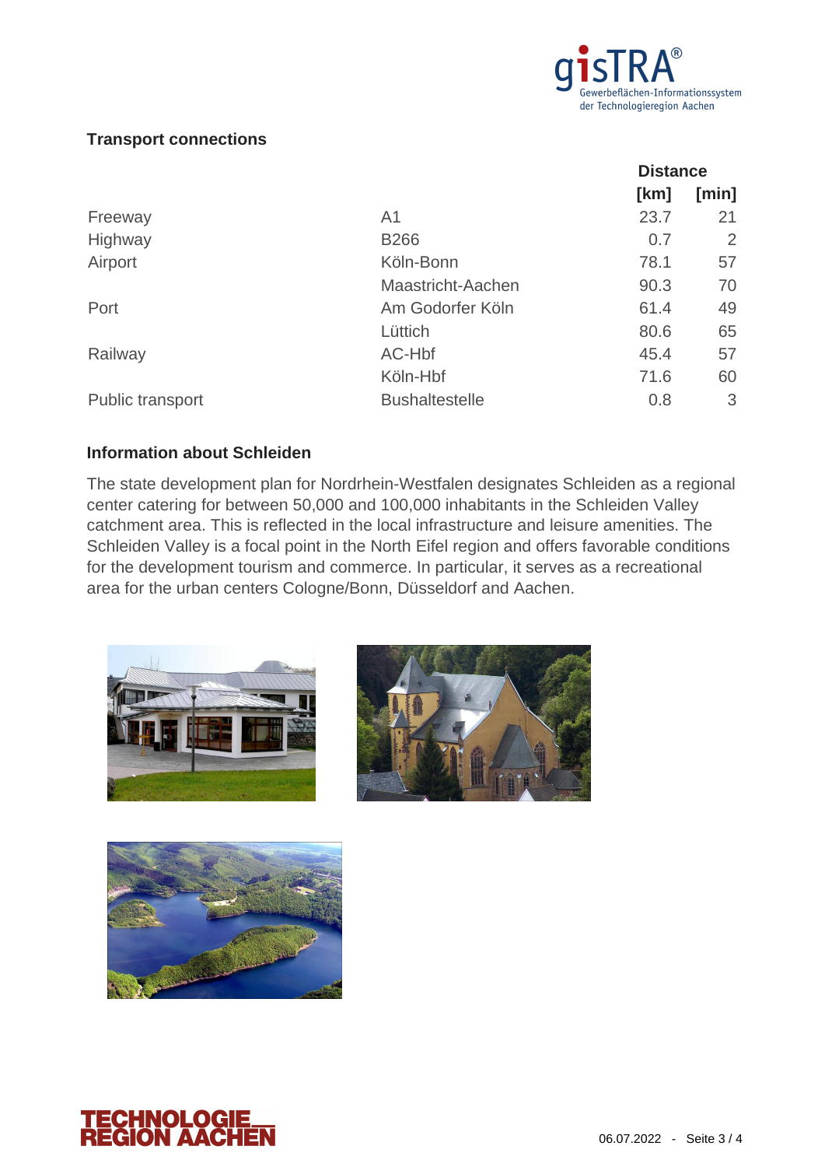

# **Transport connections**

|                  |                       | <b>Distance</b> |       |
|------------------|-----------------------|-----------------|-------|
|                  |                       | [km]            | [min] |
| Freeway          | A <sub>1</sub>        | 23.7            | 21    |
| Highway          | <b>B266</b>           | 0.7             | 2     |
| Airport          | Köln-Bonn             | 78.1            | 57    |
|                  | Maastricht-Aachen     | 90.3            | 70    |
| Port             | Am Godorfer Köln      | 61.4            | 49    |
|                  | Lüttich               | 80.6            | 65    |
| Railway          | AC-Hbf                | 45.4            | 57    |
|                  | Köln-Hbf              | 71.6            | 60    |
| Public transport | <b>Bushaltestelle</b> | 0.8             | 3     |

## **Information about Schleiden**

The state development plan for Nordrhein-Westfalen designates Schleiden as a regional center catering for between 50,000 and 100,000 inhabitants in the Schleiden Valley catchment area. This is reflected in the local infrastructure and leisure amenities. The Schleiden Valley is a focal point in the North Eifel region and offers favorable conditions for the development tourism and commerce. In particular, it serves as a recreational area for the urban centers Cologne/Bonn, Düsseldorf and Aachen.